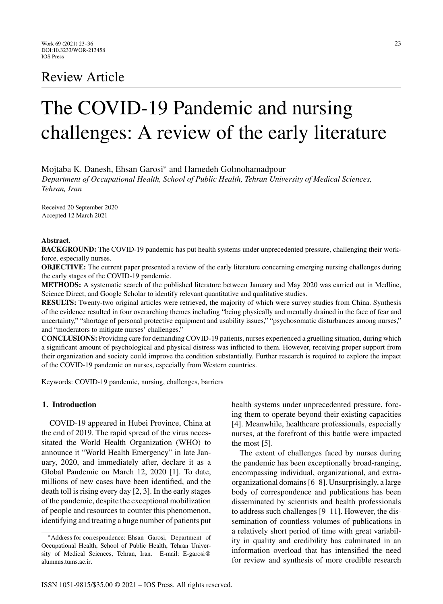# Review Article

# The COVID-19 Pandemic and nursing challenges: A review of the early literature

Mojtaba K. Danesh, Ehsan Garosi<sup>∗</sup> and Hamedeh Golmohamadpour

*Department of Occupational Health, School of Public Health, Tehran University of Medical Sciences, Tehran, Iran*

Received 20 September 2020 Accepted 12 March 2021

#### **Abstract**.

**BACKGROUND:** The COVID-19 pandemic has put health systems under unprecedented pressure, challenging their workforce, especially nurses.

**OBJECTIVE:** The current paper presented a review of the early literature concerning emerging nursing challenges during the early stages of the COVID-19 pandemic.

**METHODS:** A systematic search of the published literature between January and May 2020 was carried out in Medline, Science Direct, and Google Scholar to identify relevant quantitative and qualitative studies.

**RESULTS:** Twenty-two original articles were retrieved, the majority of which were survey studies from China. Synthesis of the evidence resulted in four overarching themes including "being physically and mentally drained in the face of fear and uncertainty," "shortage of personal protective equipment and usability issues," "psychosomatic disturbances among nurses," and "moderators to mitigate nurses' challenges."

**CONCLUSIONS:** Providing care for demanding COVID-19 patients, nurses experienced a gruelling situation, during which a significant amount of psychological and physical distress was inflicted to them. However, receiving proper support from their organization and society could improve the condition substantially. Further research is required to explore the impact of the COVID-19 pandemic on nurses, especially from Western countries.

Keywords: COVID-19 pandemic, nursing, challenges, barriers

#### **1. Introduction**

COVID-19 appeared in Hubei Province, China at the end of 2019. The rapid spread of the virus necessitated the World Health Organization (WHO) to announce it "World Health Emergency" in late January, 2020, and immediately after, declare it as a Global Pandemic on March 12, 2020 [1]. To date, millions of new cases have been identified, and the death toll is rising every day [2, 3]. In the early stages of the pandemic, despite the exceptional mobilization of people and resources to counter this phenomenon, identifying and treating a huge number of patients put health systems under unprecedented pressure, forcing them to operate beyond their existing capacities [4]. Meanwhile, healthcare professionals, especially nurses, at the forefront of this battle were impacted the most [5].

The extent of challenges faced by nurses during the pandemic has been exceptionally broad-ranging, encompassing individual, organizational, and extraorganizational domains [6–8]. Unsurprisingly, a large body of correspondence and publications has been disseminated by scientists and health professionals to address such challenges [9–11]. However, the dissemination of countless volumes of publications in a relatively short period of time with great variability in quality and credibility has culminated in an information overload that has intensified the need for review and synthesis of more credible research

<sup>∗</sup>Address for correspondence: Ehsan Garosi, Department of Occupational Health, School of Public Health, Tehran University of Medical Sciences, Tehran, Iran. E-mail: [E-garosi@](mailto:E-garosi@{penalty -@M }alumnus.tums.ac.ir) alumnus.tums.ac.ir.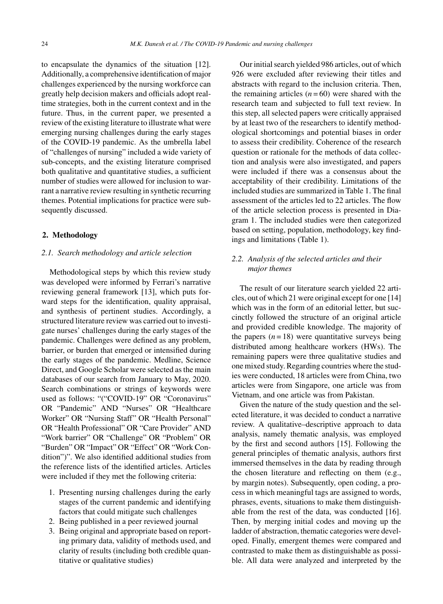to encapsulate the dynamics of the situation [12]. Additionally, a comprehensive identification of major challenges experienced by the nursing workforce can greatly help decision makers and officials adopt realtime strategies, both in the current context and in the future. Thus, in the current paper, we presented a review of the existing literature to illustrate what were emerging nursing challenges during the early stages of the COVID-19 pandemic. As the umbrella label of "challenges of nursing" included a wide variety of sub-concepts, and the existing literature comprised both qualitative and quantitative studies, a sufficient number of studies were allowed for inclusion to warrant a narrative review resulting in synthetic recurring themes. Potential implications for practice were subsequently discussed.

#### **2. Methodology**

# *2.1. Search methodology and article selection*

Methodological steps by which this review study was developed were informed by Ferrari's narrative reviewing general framework [13], which puts forward steps for the identification, quality appraisal, and synthesis of pertinent studies. Accordingly, a structured literature review was carried out to investigate nurses' challenges during the early stages of the pandemic. Challenges were defined as any problem, barrier, or burden that emerged or intensified during the early stages of the pandemic. Medline, Science Direct, and Google Scholar were selected as the main databases of our search from January to May, 2020. Search combinations or strings of keywords were used as follows: "("COVID-19" OR "Coronavirus" OR "Pandemic" AND "Nurses" OR "Healthcare Worker" OR "Nursing Staff" OR "Health Personal" OR "Health Professional" OR "Care Provider" AND "Work barrier" OR "Challenge" OR "Problem" OR "Burden" OR "Impact" OR "Effect" OR "Work Condition")". We also identified additional studies from the reference lists of the identified articles. Articles were included if they met the following criteria:

- 1. Presenting nursing challenges during the early stages of the current pandemic and identifying factors that could mitigate such challenges
- 2. Being published in a peer reviewed journal
- 3. Being original and appropriate based on reporting primary data, validity of methods used, and clarity of results (including both credible quantitative or qualitative studies)

Our initial search yielded 986 articles, out of which 926 were excluded after reviewing their titles and abstracts with regard to the inclusion criteria. Then, the remaining articles  $(n=60)$  were shared with the research team and subjected to full text review. In this step, all selected papers were critically appraised by at least two of the researchers to identify methodological shortcomings and potential biases in order to assess their credibility. Coherence of the research question or rationale for the methods of data collection and analysis were also investigated, and papers were included if there was a consensus about the acceptability of their credibility. Limitations of the included studies are summarized in Table 1. The final assessment of the articles led to 22 articles. The flow of the article selection process is presented in Diagram 1. The included studies were then categorized based on setting, population, methodology, key findings and limitations (Table 1).

# *2.2. Analysis of the selected articles and their major themes*

The result of our literature search yielded 22 articles, out of which 21 were original except for one [14] which was in the form of an editorial letter, but succinctly followed the structure of an original article and provided credible knowledge. The majority of the papers  $(n=18)$  were quantitative surveys being distributed among healthcare workers (HWs). The remaining papers were three qualitative studies and one mixed study. Regarding countries where the studies were conducted, 18 articles were from China, two articles were from Singapore, one article was from Vietnam, and one article was from Pakistan.

Given the nature of the study question and the selected literature, it was decided to conduct a narrative review. A qualitative–descriptive approach to data analysis, namely thematic analysis, was employed by the first and second authors [15]. Following the general principles of thematic analysis, authors first immersed themselves in the data by reading through the chosen literature and reflecting on them (e.g., by margin notes). Subsequently, open coding, a process in which meaningful tags are assigned to words, phrases, events, situations to make them distinguishable from the rest of the data, was conducted [16]. Then, by merging initial codes and moving up the ladder of abstraction, thematic categories were developed. Finally, emergent themes were compared and contrasted to make them as distinguishable as possible. All data were analyzed and interpreted by the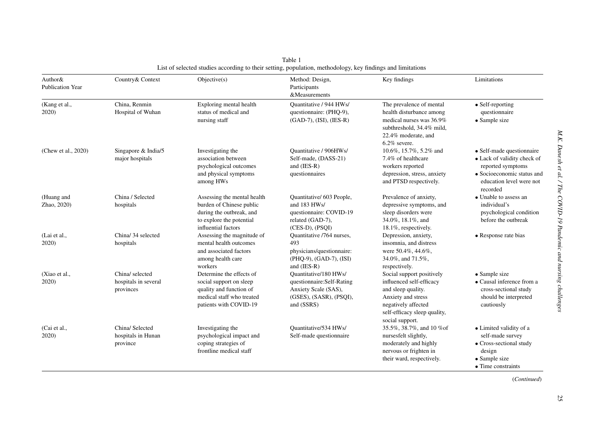| Author&<br><b>Publication Year</b> | Country & Context                                    | Objective(s)                                                                                                                           | Method: Design,<br>Participants<br>&Measurements                                                                    | Key findings                                                                                                                                                                | Limitations                                                                                                                                                 |
|------------------------------------|------------------------------------------------------|----------------------------------------------------------------------------------------------------------------------------------------|---------------------------------------------------------------------------------------------------------------------|-----------------------------------------------------------------------------------------------------------------------------------------------------------------------------|-------------------------------------------------------------------------------------------------------------------------------------------------------------|
| (Kang et al.,<br>2020              | China, Renmin<br>Hospital of Wuhan                   | Exploring mental health<br>status of medical and<br>nursing staff                                                                      | Ouantitative / 944 HWs/<br>questionnaire: (PHQ-9),<br>(GAD-7), (ISI), (IES-R)                                       | The prevalence of mental<br>health disturbance among<br>medical nurses was 36.9%<br>subthreshold, 34.4% mild,<br>22.4% moderate, and<br>$6.2\%$ severe.                     | • Self-reporting<br>questionnaire<br>• Sample size                                                                                                          |
| (Chew et al., 2020)                | Singapore & India/5<br>major hospitals               | Investigating the<br>association between<br>psychological outcomes<br>and physical symptoms<br>among HWs                               | Quantitative / 906HWs/<br>Self-made, (DASS-21)<br>and (IES-R)<br>questionnaires                                     | 10.6%, 15.7%, 5.2% and<br>7.4% of healthcare<br>workers reported<br>depression, stress, anxiety<br>and PTSD respectively.                                                   | $\bullet$ Self-made questionnaire<br>• Lack of validity check of<br>reported symptoms<br>• Socioeconomic status and<br>education level were not<br>recorded |
| (Huang and<br>Zhao, 2020)          | China / Selected<br>hospitals                        | Assessing the mental health<br>burden of Chinese public<br>during the outbreak, and<br>to explore the potential<br>influential factors | Quantitative/ 603 People,<br>and 183 HWs/<br>questionnaire: COVID-19<br>related (GAD-7),<br>$(CES-D)$ , $(PSOI)$    | Prevalence of anxiety,<br>depressive symptoms, and<br>sleep disorders were<br>34.0%, 18.1%, and<br>18.1%, respectively.                                                     | • Unable to assess an<br>individual's<br>psychological condition<br>before the outbreak                                                                     |
| (Lai et al.,<br>2020)              | China/34 selected<br>hospitals                       | Assessing the magnitude of<br>mental health outcomes<br>and associated factors<br>among health care<br>workers                         | Quantitative /764 nurses,<br>493<br>physicians/questionnaire:<br>(PHQ-9), (GAD-7), (ISI)<br>and (IES-R)             | Depression, anxiety,<br>insomnia, and distress<br>were 50.4%, 44.6%,<br>34.0%, and 71.5%,<br>respectively.                                                                  | • Response rate bias                                                                                                                                        |
| (Xiao et al.,<br>2020)             | China/ selected<br>hospitals in several<br>provinces | Determine the effects of<br>social support on sleep<br>quality and function of<br>medical staff who treated<br>patients with COVID-19  | Ouantitative/180 HWs/<br>questionnaire:Self-Rating<br>Anxiety Scale (SAS),<br>(GSES), (SASR), (PSQI),<br>and (SSRS) | Social support positively<br>influenced self-efficacy<br>and sleep quality.<br>Anxiety and stress<br>negatively affected<br>self-efficacy sleep quality,<br>social support. | • Sample size<br>• Causal inference from a<br>cross-sectional study<br>should be interpreted<br>cautiously                                                  |
| (Cai et al.,<br>2020)              | China/ Selected<br>hospitals in Hunan<br>province    | Investigating the<br>psychological impact and<br>coping strategies of<br>frontline medical staff                                       | Ouantitative/534 HWs/<br>Self-made questionnaire                                                                    | 35.5%, 38.7%, and 10 % of<br>nursesfelt slightly,<br>moderately and highly<br>nervous or frighten in<br>their ward, respectively.                                           | • Limited validity of a<br>self-made survey<br>• Cross-sectional study<br>design<br>• Sample size<br>$\bullet$ Time constraints                             |

Table 1 List of selected studies according to their setting, population, methodology, key findings and limitations

(*Continued*)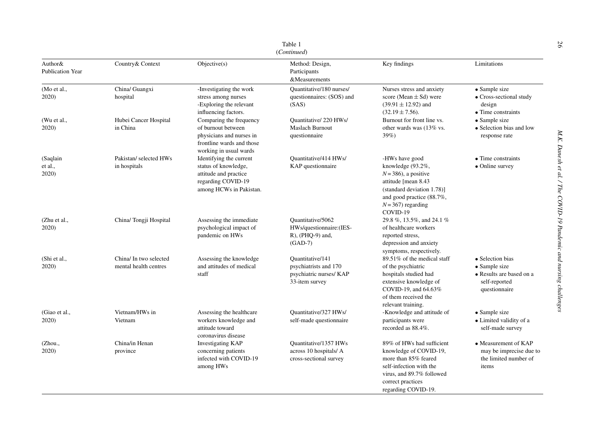|                                    |                                                 |                                                                                                                                  | Table 1<br>(Continued)                                                                 |                                                                                                                                                                                      |                                                                                                 |
|------------------------------------|-------------------------------------------------|----------------------------------------------------------------------------------------------------------------------------------|----------------------------------------------------------------------------------------|--------------------------------------------------------------------------------------------------------------------------------------------------------------------------------------|-------------------------------------------------------------------------------------------------|
| Author&<br><b>Publication Year</b> | Country & Context                               | Objective(s)                                                                                                                     | Method: Design,<br>Participants<br>&Measurements                                       | Key findings                                                                                                                                                                         | Limitations                                                                                     |
| (Mo et al.,<br>2020)               | China/ Guangxi<br>hospital                      | -Investigating the work<br>stress among nurses<br>-Exploring the relevant<br>influencing factors.                                | Quantitative/180 nurses/<br>questionnaires: (SOS) and<br>(SAS)                         | Nurses stress and anxiety<br>score (Mean $\pm$ Sd) were<br>$(39.91 \pm 12.92)$ and<br>$(32.19 \pm 7.56)$ .                                                                           | • Sample size<br>• Cross-sectional study<br>design<br>• Time constraints                        |
| (Wu et al.,<br>2020)               | Hubei Cancer Hospital<br>in China               | Comparing the frequency<br>of burnout between<br>physicians and nurses in<br>frontline wards and those<br>working in usual wards | Quantitative/220 HWs/<br><b>Maslach Burnout</b><br>questionnaire                       | Burnout for front line vs.<br>other wards was (13% vs.<br>39%                                                                                                                        | • Sample size<br>• Selection bias and low<br>response rate                                      |
| (Saqlain<br>et al.,<br>2020)       | Pakistan/selected HWs<br>in hospitals           | Identifying the current<br>status of knowledge,<br>attitude and practice<br>regarding COVID-19<br>among HCWs in Pakistan.        | Ouantitative/414 HWs/<br>KAP questionnaire                                             | -HWs have good<br>knowledge (93.2%,<br>$N = 386$ , a positive<br>attitude [mean 8.43<br>(standard deviation 1.78)]<br>and good practice (88.7%,<br>$N = 367$ ) regarding<br>COVID-19 | $\bullet$ Time constraints<br>• Online survey                                                   |
| (Zhu et al.,<br>2020)              | China/ Tongji Hospital                          | Assessing the immediate<br>psychological impact of<br>pandemic on HWs                                                            | Quantitative/5062<br>HWs/questionnaire:(IES-<br>R), (PHQ-9) and,<br>$(GAD-7)$          | 29.8 %, 13.5%, and 24.1 %<br>of healthcare workers<br>reported stress,<br>depression and anxiety<br>symptoms, respectively.                                                          |                                                                                                 |
| (Shi et al.,<br>2020)              | China/ In two selected<br>mental health centres | Assessing the knowledge<br>and attitudes of medical<br>staff                                                                     | Ouantitative/141<br>psychiatrists and 170<br>psychiatric nurses/ KAP<br>33-item survey | $89.51\%$ of the medical staff<br>of the psychiatric<br>hospitals studied had<br>extensive knowledge of<br>COVID-19, and 64.63%<br>of them received the<br>relevant training.        | • Selection bias<br>• Sample size<br>· Results are based on a<br>self-reported<br>questionnaire |
| (Giao et al.,<br>2020)             | Vietnam/HWs in<br>Vietnam                       | Assessing the healthcare<br>workers knowledge and<br>attitude toward<br>coronavirus disease                                      | Quantitative/327 HWs/<br>self-made questionnaire                                       | -Knowledge and attitude of<br>participants were<br>recorded as 88.4%.                                                                                                                | • Sample size<br>• Limited validity of a<br>self-made survey                                    |
| (Zhou.,<br>2020)                   | China/in Henan<br>province                      | <b>Investigating KAP</b><br>concerning patients<br>infected with COVID-19<br>among HWs                                           | Quantitative/1357 HWs<br>across 10 hospitals/ A<br>cross-sectional survey              | 89% of HWs had sufficient<br>knowledge of COVID-19,<br>more than 85% feared<br>self-infection with the<br>virus, and 89.7% followed<br>correct practices<br>regarding COVID-19.      | • Measurement of KAP<br>may be imprecise due to<br>the limited number of<br>items               |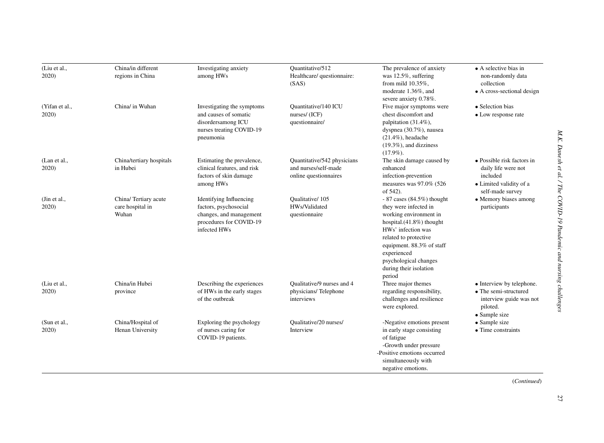| (Liu et al.,<br>2020)   | China/in different<br>regions in China            | Investigating anxiety<br>among HWs                                                                                            | Quantitative/512<br>Healthcare/ questionnaire:<br>(SAS)                      | The prevalence of anxiety<br>was 12.5%, suffering<br>from mild $10.35\%$ ,<br>moderate 1.36%, and<br>severe anxiety 0.78%.                                                                                                                                             | • A selective bias in<br>non-randomly data<br>collection<br>• A cross-sectional design                       |
|-------------------------|---------------------------------------------------|-------------------------------------------------------------------------------------------------------------------------------|------------------------------------------------------------------------------|------------------------------------------------------------------------------------------------------------------------------------------------------------------------------------------------------------------------------------------------------------------------|--------------------------------------------------------------------------------------------------------------|
| (Yifan et al.,<br>2020) | China/ in Wuhan                                   | Investigating the symptoms<br>and causes of somatic<br>disordersamong ICU<br>nurses treating COVID-19<br>pneumonia            | Quantitative/140 ICU<br>nurses/ (ICF)<br>questionnaire/                      | Five major symptoms were<br>chest discomfort and<br>palpitation $(31.4\%)$ ,<br>dyspnea $(30.7\%)$ , nausea<br>$(21.4\%)$ , headache<br>$(19.3\%)$ , and dizziness<br>$(17.9\%).$                                                                                      | • Selection bias<br>• Low response rate                                                                      |
| (Lan et al.,<br>2020)   | China/tertiary hospitals<br>in Hubei              | Estimating the prevalence,<br>clinical features, and risk<br>factors of skin damage<br>among HWs                              | Quantitative/542 physicians<br>and nurses/self-made<br>online questionnaires | The skin damage caused by<br>enhanced<br>infection-prevention<br>measures was 97.0% (526<br>of 542).                                                                                                                                                                   | • Possible risk factors in<br>daily life were not<br>included<br>• Limited validity of a<br>self-made survey |
| (Jin et al.,<br>2020)   | China/Tertiary acute<br>care hospital in<br>Wuhan | <b>Identifying Influencing</b><br>factors, psychosocial<br>changes, and management<br>procedures for COVID-19<br>infected HWs | Qualitative/105<br>HWs/Validated<br>questionnaire                            | $-87$ cases (84.5%) thought<br>they were infected in<br>working environment in<br>hospital. $(41.8\%)$ thought<br>HWs' infection was<br>related to protective<br>equipment. 88.3% of staff<br>experienced<br>psychological changes<br>during their isolation<br>period | • Memory biases among<br>participants                                                                        |
| (Liu et al.,<br>2020)   | China/in Hubei<br>province                        | Describing the experiences<br>of HWs in the early stages<br>of the outbreak                                                   | Qualitative/9 nurses and 4<br>physicians/Telephone<br>interviews             | Three major themes<br>regarding responsibility,<br>challenges and resilience<br>were explored.                                                                                                                                                                         | • Interview by telephone.<br>• The semi-structured<br>interview guide was not<br>piloted.<br>• Sample size   |
| (Sun et al.,<br>2020)   | China/Hospital of<br>Henan University             | Exploring the psychology<br>of nurses caring for<br>COVID-19 patients.                                                        | Qualitative/20 nurses/<br>Interview                                          | -Negative emotions present<br>in early stage consisting<br>of fatigue<br>-Growth under pressure<br>-Positive emotions occurred<br>simultaneously with<br>negative emotions.                                                                                            | • Sample size<br>$\bullet$ Time constraints                                                                  |

(*Continued*)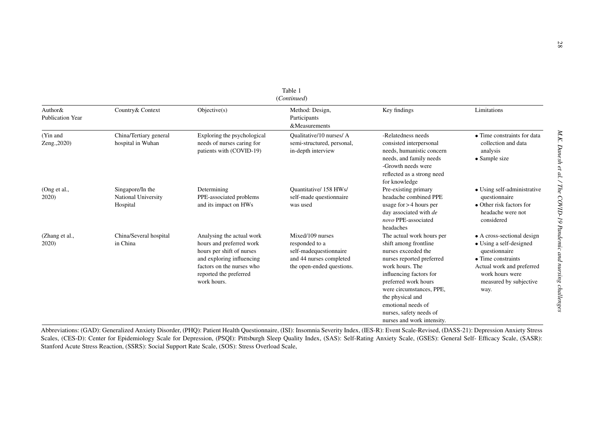| Author&<br><b>Publication Year</b> | Country & Context                                   | Objective(s)                                                                                                                                                                          | Method: Design,<br>Participants<br>&Measurements                                                                     | Key findings                                                                                                                                                                                                                                                                                                | Limitations                                                                                                                                                                            |
|------------------------------------|-----------------------------------------------------|---------------------------------------------------------------------------------------------------------------------------------------------------------------------------------------|----------------------------------------------------------------------------------------------------------------------|-------------------------------------------------------------------------------------------------------------------------------------------------------------------------------------------------------------------------------------------------------------------------------------------------------------|----------------------------------------------------------------------------------------------------------------------------------------------------------------------------------------|
| (Yin and<br>Zeng., 2020)           | China/Tertiary general<br>hospital in Wuhan         | Exploring the psychological<br>needs of nurses caring for<br>patients with (COVID-19)                                                                                                 | Qualitative/10 nurses/ A<br>semi-structured, personal,<br>in-depth interview                                         | -Relatedness needs<br>consisted interpersonal<br>needs, humanistic concern<br>needs, and family needs<br>-Growth needs were<br>reflected as a strong need<br>for knowledge                                                                                                                                  | • Time constraints for data<br>collection and data<br>analysis<br>• Sample size                                                                                                        |
| (Ong et al.,<br>2020               | Singapore/In the<br>National University<br>Hospital | Determining<br>PPE-associated problems<br>and its impact on HWs                                                                                                                       | Quantitative/ 158 HWs/<br>self-made questionnaire<br>was used                                                        | Pre-existing primary<br>headache combined PPE<br>usage for $> 4$ hours per<br>day associated with de<br>novo PPE-associated<br>headaches                                                                                                                                                                    | • Using self-administrative<br>questionnaire<br>• Other risk factors for<br>headache were not<br>considered                                                                            |
| (Zhang et al.,<br>2020)            | China/Several hospital<br>in China                  | Analysing the actual work<br>hours and preferred work<br>hours per shift of nurses<br>and exploring influencing<br>factors on the nurses who<br>reported the preferred<br>work hours. | Mixed/109 nurses<br>responded to a<br>self-madequestionnaire<br>and 44 nurses completed<br>the open-ended questions. | The actual work hours per<br>shift among frontline<br>nurses exceeded the<br>nurses reported preferred<br>work hours. The<br>influencing factors for<br>preferred work hours<br>were circumstances, PPE,<br>the physical and<br>emotional needs of<br>nurses, safety needs of<br>nurses and work intensity. | • A cross-sectional design<br>• Using a self-designed<br>questionnaire<br>$\bullet$ Time constraints<br>Actual work and preferred<br>work hours were<br>measured by subjective<br>way. |

Abbreviations: (GAD): Generalized Anxiety Disorder, (PHQ): Patient Health Questionnaire, (ISI): Insomnia Severity Index, (IES-R): Event Scale-Revised, (DASS-21): Depression Anxiety Stress Scales, (CES-D): Center for Epidemiology Scale for Depression, (PSQI): Pittsburgh Sleep Quality Index, (SAS): Self-Rating Anxiety Scale, (GSES): General Self- Efficacy Scale, (SASR): Stanford Acute Stress Reaction, (SSRS): Social Support Rate Scale, (SOS): Stress Overload Scale,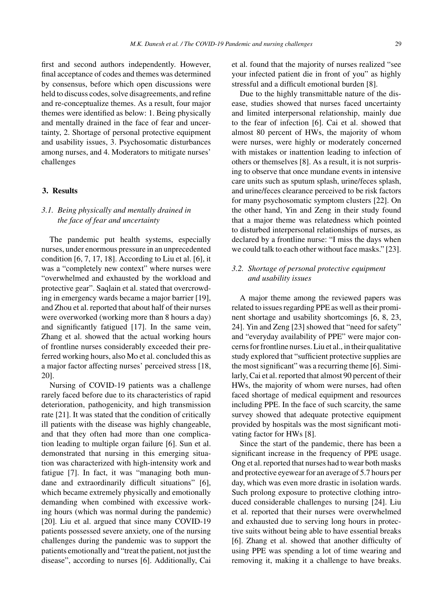first and second authors independently. However, final acceptance of codes and themes was determined by consensus, before which open discussions were held to discuss codes, solve disagreements, and refine and re-conceptualize themes. As a result, four major themes were identified as below: 1. Being physically and mentally drained in the face of fear and uncertainty, 2. Shortage of personal protective equipment and usability issues, 3. Psychosomatic disturbances among nurses, and 4. Moderators to mitigate nurses' challenges

# **3. Results**

# *3.1. Being physically and mentally drained in the face of fear and uncertainty*

The pandemic put health systems, especially nurses, under enormous pressure in an unprecedented condition [6, 7, 17, 18]. According to Liu et al. [6], it was a "completely new context" where nurses were "overwhelmed and exhausted by the workload and protective gear". Saqlain et al. stated that overcrowding in emergency wards became a major barrier [19], and Zhou et al. reported that about half of their nurses were overworked (working more than 8 hours a day) and significantly fatigued [17]. In the same vein, Zhang et al. showed that the actual working hours of frontline nurses considerably exceeded their preferred working hours, also Mo et al. concluded this as a major factor affecting nurses' perceived stress [18, 20].

Nursing of COVID-19 patients was a challenge rarely faced before due to its characteristics of rapid deterioration, pathogenicity, and high transmission rate [21]. It was stated that the condition of critically ill patients with the disease was highly changeable, and that they often had more than one complication leading to multiple organ failure [6]. Sun et al. demonstrated that nursing in this emerging situation was characterized with high-intensity work and fatigue [7]. In fact, it was "managing both mundane and extraordinarily difficult situations" [6], which became extremely physically and emotionally demanding when combined with excessive working hours (which was normal during the pandemic) [20]. Liu et al. argued that since many COVID-19 patients possessed severe anxiety, one of the nursing challenges during the pandemic was to support the patients emotionally and "treat the patient, not just the disease", according to nurses [6]. Additionally, Cai

et al. found that the majority of nurses realized "see your infected patient die in front of you" as highly stressful and a difficult emotional burden [8].

Due to the highly transmittable nature of the disease, studies showed that nurses faced uncertainty and limited interpersonal relationship, mainly due to the fear of infection [6]. Cai et al. showed that almost 80 percent of HWs, the majority of whom were nurses, were highly or moderately concerned with mistakes or inattention leading to infection of others or themselves [8]. As a result, it is not surprising to observe that once mundane events in intensive care units such as sputum splash, urine/feces splash, and urine/feces clearance perceived to be risk factors for many psychosomatic symptom clusters [22]. On the other hand, Yin and Zeng in their study found that a major theme was relatedness which pointed to disturbed interpersonal relationships of nurses, as declared by a frontline nurse: "I miss the days when we could talk to each other without face masks." [23].

# *3.2. Shortage of personal protective equipment and usability issues*

A major theme among the reviewed papers was related to issues regarding PPE as well as their prominent shortage and usability shortcomings [6, 8, 23, 24]. Yin and Zeng [23] showed that "need for safety" and "everyday availability of PPE" were major concerns for frontline nurses. Liu et al., in their qualitative study explored that "sufficient protective supplies are the most significant" was a recurring theme [6]. Similarly, Cai et al. reported that almost 90 percent of their HWs, the majority of whom were nurses, had often faced shortage of medical equipment and resources including PPE. In the face of such scarcity, the same survey showed that adequate protective equipment provided by hospitals was the most significant motivating factor for HWs [8].

Since the start of the pandemic, there has been a significant increase in the frequency of PPE usage. Ong et al. reported that nurses had to wear both masks and protective eyewear for an average of 5.7 hours per day, which was even more drastic in isolation wards. Such prolong exposure to protective clothing introduced considerable challenges to nursing [24]. Liu et al. reported that their nurses were overwhelmed and exhausted due to serving long hours in protective suits without being able to have essential breaks [6]. Zhang et al. showed that another difficulty of using PPE was spending a lot of time wearing and removing it, making it a challenge to have breaks.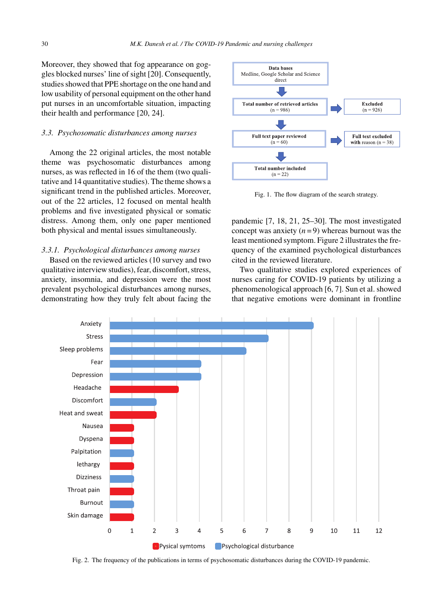Moreover, they showed that fog appearance on goggles blocked nurses' line of sight [20]. Consequently, studies showed that PPE shortage on the one hand and low usability of personal equipment on the other hand put nurses in an uncomfortable situation, impacting their health and performance [20, 24].

# *3.3. Psychosomatic disturbances among nurses*

Among the 22 original articles, the most notable theme was psychosomatic disturbances among nurses, as was reflected in 16 of the them (two qualitative and 14 quantitative studies). The theme shows a significant trend in the published articles. Moreover, out of the 22 articles, 12 focused on mental health problems and five investigated physical or somatic distress. Among them, only one paper mentioned both physical and mental issues simultaneously.

# *3.3.1. Psychological disturbances among nurses*

Based on the reviewed articles (10 survey and two qualitative interview studies), fear, discomfort, stress, anxiety, insomnia, and depression were the most prevalent psychological disturbances among nurses, demonstrating how they truly felt about facing the



Fig. 1. The flow diagram of the search strategy.

pandemic [7, 18, 21, 25–30]. The most investigated concept was anxiety  $(n=9)$  whereas burnout was the least mentioned symptom. Figure 2 illustrates the frequency of the examined psychological disturbances cited in the reviewed literature.

Two qualitative studies explored experiences of nurses caring for COVID-19 patients by utilizing a phenomenological approach [6, 7]. Sun et al. showed that negative emotions were dominant in frontline



Fig. 2. The frequency of the publications in terms of psychosomatic disturbances during the COVID-19 pandemic.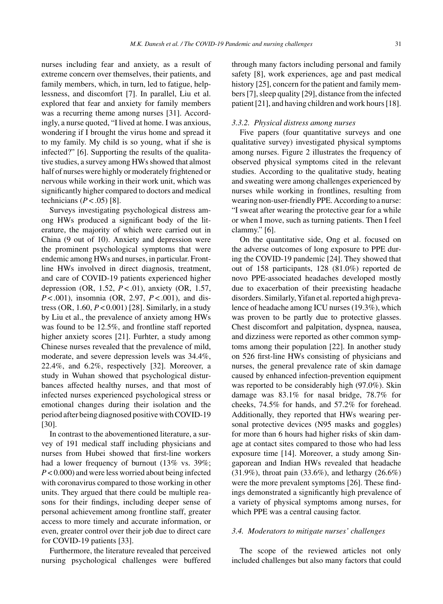nurses including fear and anxiety, as a result of extreme concern over themselves, their patients, and family members, which, in turn, led to fatigue, helplessness, and discomfort [7]. In parallel, Liu et al. explored that fear and anxiety for family members was a recurring theme among nurses [31]. Accordingly, a nurse quoted, "I lived at home. I was anxious, wondering if I brought the virus home and spread it to my family. My child is so young, what if she is infected?" [6]. Supporting the results of the qualitative studies, a survey among HWs showed that almost half of nurses were highly or moderately frightened or nervous while working in their work unit, which was significantly higher compared to doctors and medical technicians  $(P < .05)$  [8].

Surveys investigating psychological distress among HWs produced a significant body of the literature, the majority of which were carried out in China (9 out of 10). Anxiety and depression were the prominent psychological symptoms that were endemic among HWs and nurses, in particular. Frontline HWs involved in direct diagnosis, treatment, and care of COVID-19 patients experienced higher depression (OR, 1.52, *P* < .01), anxiety (OR, 1.57, *P* < .001), insomnia (OR, 2.97, *P* < .001), and distress (OR, 1.60, *P* < 0.001) [28]. Similarly, in a study by Liu et al., the prevalence of anxiety among HWs was found to be 12.5%, and frontline staff reported higher anxiety scores [21]. Furhter, a study among Chinese nurses revealed that the prevalence of mild, moderate, and severe depression levels was 34.4%, 22.4%, and 6.2%, respectively [32]. Moreover, a study in Wuhan showed that psychological disturbances affected healthy nurses, and that most of infected nurses experienced psychological stress or emotional changes during their isolation and the period after being diagnosed positive with COVID-19 [30].

In contrast to the abovementioned literature, a survey of 191 medical staff including physicians and nurses from Hubei showed that first-line workers had a lower frequency of burnout (13% vs. 39%; *P* < 0.000) and were less worried about being infected with coronavirus compared to those working in other units. They argued that there could be multiple reasons for their findings, including deeper sense of personal achievement among frontline staff, greater access to more timely and accurate information, or even, greater control over their job due to direct care for COVID-19 patients [33].

Furthermore, the literature revealed that perceived nursing psychological challenges were buffered

through many factors including personal and family safety [8], work experiences, age and past medical history [25], concern for the patient and family members [7], sleep quality [29], distance from the infected patient [21], and having children and work hours [18].

# *3.3.2. Physical distress among nurses*

Five papers (four quantitative surveys and one qualitative survey) investigated physical symptoms among nurses. Figure 2 illustrates the frequency of observed physical symptoms cited in the relevant studies. According to the qualitative study, heating and sweating were among challenges experienced by nurses while working in frontlines, resulting from wearing non-user-friendly PPE. According to a nurse: "I sweat after wearing the protective gear for a while or when I move, such as turning patients. Then I feel clammy." [6].

On the quantitative side, Ong et al. focused on the adverse outcomes of long exposure to PPE during the COVID-19 pandemic [24]. They showed that out of 158 participants, 128 (81.0%) reported de novo PPE-associated headaches developed mostly due to exacerbation of their preexisting headache disorders. Similarly, Yifan et al. reported a high prevalence of headache among ICU nurses (19.3%), which was proven to be partly due to protective glasses. Chest discomfort and palpitation, dyspnea, nausea, and dizziness were reported as other common symptoms among their population [22]. In another study on 526 first-line HWs consisting of physicians and nurses, the general prevalence rate of skin damage caused by enhanced infection-prevention equipment was reported to be considerably high (97.0%). Skin damage was 83.1% for nasal bridge, 78.7% for cheeks, 74.5% for hands, and 57.2% for forehead. Additionally, they reported that HWs wearing personal protective devices (N95 masks and goggles) for more than 6 hours had higher risks of skin damage at contact sites compared to those who had less exposure time [14]. Moreover, a study among Singaporean and Indian HWs revealed that headache (31.9%), throat pain (33.6%), and lethargy (26.6%) were the more prevalent symptoms [26]. These findings demonstrated a significantly high prevalence of a variety of physical symptoms among nurses, for which PPE was a central causing factor.

#### *3.4. Moderators to mitigate nurses' challenges*

The scope of the reviewed articles not only included challenges but also many factors that could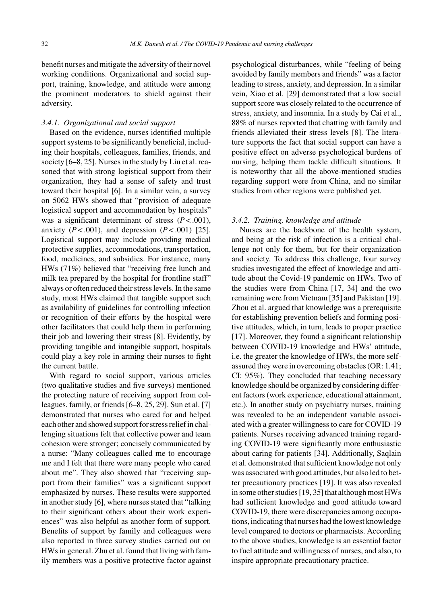benefit nurses and mitigate the adversity of their novel working conditions. Organizational and social support, training, knowledge, and attitude were among the prominent moderators to shield against their adversity.

#### *3.4.1. Organizational and social support*

Based on the evidence, nurses identified multiple support systems to be significantly beneficial, including their hospitals, colleagues, families, friends, and society [6–8, 25]. Nurses in the study by Liu et al. reasoned that with strong logistical support from their organization, they had a sense of safety and trust toward their hospital [6]. In a similar vein, a survey on 5062 HWs showed that "provision of adequate logistical support and accommodation by hospitals" was a significant determinant of stress  $(P < .001)$ , anxiety  $(P < .001)$ , and depression  $(P < .001)$  [25]. Logistical support may include providing medical protective supplies, accommodations, transportation, food, medicines, and subsidies. For instance, many HWs (71%) believed that "receiving free lunch and milk tea prepared by the hospital for frontline staff" always or often reduced their stress levels. In the same study, most HWs claimed that tangible support such as availability of guidelines for controlling infection or recognition of their efforts by the hospital were other facilitators that could help them in performing their job and lowering their stress [8]. Evidently, by providing tangible and intangible support, hospitals could play a key role in arming their nurses to fight the current battle.

With regard to social support, various articles (two qualitative studies and five surveys) mentioned the protecting nature of receiving support from colleagues, family, or friends [6–8, 25, 29]. Sun et al. [7] demonstrated that nurses who cared for and helped each other and showed support for stress relief in challenging situations felt that collective power and team cohesion were stronger; concisely communicated by a nurse: "Many colleagues called me to encourage me and I felt that there were many people who cared about me". They also showed that "receiving support from their families" was a significant support emphasized by nurses. These results were supported in another study [6], where nurses stated that "talking to their significant others about their work experiences" was also helpful as another form of support. Benefits of support by family and colleagues were also reported in three survey studies carried out on HWs in general. Zhu et al. found that living with family members was a positive protective factor against

psychological disturbances, while "feeling of being avoided by family members and friends" was a factor leading to stress, anxiety, and depression. In a similar vein, Xiao et al. [29] demonstrated that a low social support score was closely related to the occurrence of stress, anxiety, and insomnia. In a study by Cai et al., 88% of nurses reported that chatting with family and friends alleviated their stress levels [8]. The literature supports the fact that social support can have a positive effect on adverse psychological burdens of nursing, helping them tackle difficult situations. It is noteworthy that all the above-mentioned studies regarding support were from China, and no similar studies from other regions were published yet.

#### *3.4.2. Training, knowledge and attitude*

Nurses are the backbone of the health system, and being at the risk of infection is a critical challenge not only for them, but for their organization and society. To address this challenge, four survey studies investigated the effect of knowledge and attitude about the Covid-19 pandemic on HWs. Two of the studies were from China [17, 34] and the two remaining were from Vietnam [35] and Pakistan [19]. Zhou et al. argued that knowledge was a prerequisite for establishing prevention beliefs and forming positive attitudes, which, in turn, leads to proper practice [17]. Moreover, they found a significant relationship between COVID-19 knowledge and HWs' attitude, i.e. the greater the knowledge of HWs, the more selfassured they were in overcoming obstacles (OR: 1.41; CI: 95%). They concluded that teaching necessary knowledge should be organized by considering different factors (work experience, educational attainment, etc.). In another study on psychiatry nurses, training was revealed to be an independent variable associated with a greater willingness to care for COVID-19 patients. Nurses receiving advanced training regarding COVID-19 were significantly more enthusiastic about caring for patients [34]. Additionally, Saqlain et al. demonstrated that sufficient knowledge not only was associated with good attitudes, but also led to better precautionary practices [19]. It was also revealed in some other studies [19, 35] that although most HWs had sufficient knowledge and good attitude toward COVID-19, there were discrepancies among occupations, indicating that nurses had the lowest knowledge level compared to doctors or pharmacists. According to the above studies, knowledge is an essential factor to fuel attitude and willingness of nurses, and also, to inspire appropriate precautionary practice.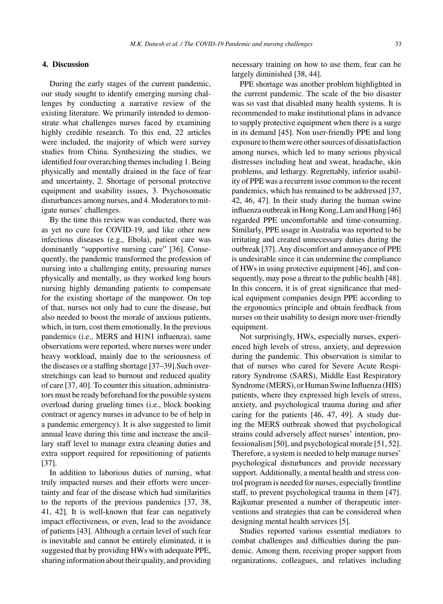#### **4. Discussion**

During the early stages of the current pandemic, our study sought to identify emerging nursing challenges by conducting a narrative review of the existing literature. We primarily intended to demonstrate what challenges nurses faced by examining highly credible research. To this end, 22 articles were included, the majority of which were survey studies from China. Synthesizing the studies, we identified four overarching themes including 1. Being physically and mentally drained in the face of fear and uncertainty, 2. Shortage of personal protective equipment and usability issues, 3. Psychosomatic disturbances among nurses, and 4. Moderators to mitigate nurses' challenges.

By the time this review was conducted, there was as yet no cure for COVID-19, and like other new infectious diseases (e.g., Ebola), patient care was dominantly "supportive nursing care" [36]. Consequently, the pandemic transformed the profession of nursing into a challenging entity, pressuring nurses physically and mentally, as they worked long hours nursing highly demanding patients to compensate for the existing shortage of the manpower. On top of that, nurses not only had to cure the disease, but also needed to boost the morale of anxious patients, which, in turn, cost them emotionally. In the previous pandemics (i.e., MERS and H1N1 influenza), same observations were reported, where nurses were under heavy workload, mainly due to the seriousness of the diseases or a staffing shortage [37–39].Such overstretchings can lead to burnout and reduced quality of care [37, 40]. To counter this situation, administrators must be ready beforehand for the possible system overload during grueling times (i.e., block booking contract or agency nurses in advance to be of help in a pandemic emergency). It is also suggested to limit annual leave during this time and increase the ancillary staff level to manage extra cleaning duties and extra support required for repositioning of patients [37].

In addition to laborious duties of nursing, what truly impacted nurses and their efforts were uncertainty and fear of the disease which had similarities to the reports of the previous pandemics [37, 38, 41, 42]. It is well-known that fear can negatively impact effectiveness, or even, lead to the avoidance of patients [43]. Although a certain level of such fear is inevitable and cannot be entirely eliminated, it is suggested that by providing HWs with adequate PPE, sharing information about their quality, and providing

necessary training on how to use them, fear can be largely diminished [38, 44].

PPE shortage was another problem highlighted in the current pandemic. The scale of the bio disaster was so vast that disabled many health systems. It is recommended to make institutional plans in advance to supply protective equipment when there is a surge in its demand [45]. Non user-friendly PPE and long exposure to them were other sources of dissatisfaction among nurses, which led to many serious physical distresses including heat and sweat, headache, skin problems, and lethargy. Regrettably, inferior usability of PPE was a recurrent issue common to the recent pandemics, which has remained to be addressed [37, 42, 46, 47]. In their study during the human swine influenza outbreak in Hong Kong, Lam and Hung [46] regarded PPE uncomfortable and time-consuming. Similarly, PPE usage in Australia was reported to be irritating and created unnecessary duties during the outbreak [37]. Any discomfort and annoyance of PPE is undesirable since it can undermine the compliance of HWs in using protective equipment [46], and consequently, may pose a threat to the public health [48]. In this concern, it is of great significance that medical equipment companies design PPE according to the ergonomics principle and obtain feedback from nurses on their usability to design more user-friendly equipment.

Not surprisingly, HWs, especially nurses, experienced high levels of stress, anxiety, and depression during the pandemic. This observation is similar to that of nurses who cared for Severe Acute Respiratory Syndrome (SARS), Middle East Respiratory Syndrome (MERS), or Human Swine Influenza (HIS) patients, where they expressed high levels of stress, anxiety, and psychological trauma during and after caring for the patients [46, 47, 49]. A study during the MERS outbreak showed that psychological strains could adversely affect nurses' intention, professionalism [50], and psychological morale [51, 52]. Therefore, a system is needed to help manage nurses' psychological disturbances and provide necessary support. Additionally, a mental health and stress control program is needed for nurses, especially frontline staff, to prevent psychological trauma in them [47]. Rajkumar presented a number of therapeutic interventions and strategies that can be considered when designing mental health services [5].

Studies reported various essential mediators to combat challenges and difficulties during the pandemic. Among them, receiving proper support from organizations, colleagues, and relatives including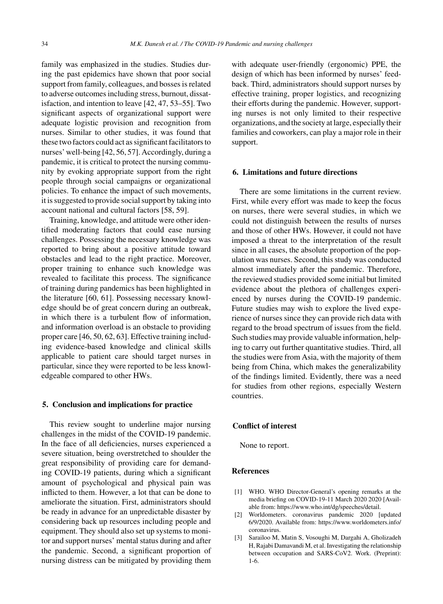family was emphasized in the studies. Studies during the past epidemics have shown that poor social support from family, colleagues, and bosses is related to adverse outcomes including stress, burnout, dissatisfaction, and intention to leave [42, 47, 53–55]. Two significant aspects of organizational support were adequate logistic provision and recognition from nurses. Similar to other studies, it was found that these two factors could act as significant facilitators to nurses' well-being [42, 56, 57]. Accordingly, during a pandemic, it is critical to protect the nursing community by evoking appropriate support from the right people through social campaigns or organizational policies. To enhance the impact of such movements, it is suggested to provide social support by taking into account national and cultural factors [58, 59].

Training, knowledge, and attitude were other identified moderating factors that could ease nursing challenges. Possessing the necessary knowledge was reported to bring about a positive attitude toward obstacles and lead to the right practice. Moreover, proper training to enhance such knowledge was revealed to facilitate this process. The significance of training during pandemics has been highlighted in the literature [60, 61]. Possessing necessary knowledge should be of great concern during an outbreak, in which there is a turbulent flow of information, and information overload is an obstacle to providing proper care [46, 50, 62, 63]. Effective training including evidence-based knowledge and clinical skills applicable to patient care should target nurses in particular, since they were reported to be less knowledgeable compared to other HWs.

#### **5. Conclusion and implications for practice**

This review sought to underline major nursing challenges in the midst of the COVID-19 pandemic. In the face of all deficiencies, nurses experienced a severe situation, being overstretched to shoulder the great responsibility of providing care for demanding COVID-19 patients, during which a significant amount of psychological and physical pain was inflicted to them. However, a lot that can be done to ameliorate the situation. First, administrators should be ready in advance for an unpredictable disaster by considering back up resources including people and equipment. They should also set up systems to monitor and support nurses' mental status during and after the pandemic. Second, a significant proportion of nursing distress can be mitigated by providing them

with adequate user-friendly (ergonomic) PPE, the design of which has been informed by nurses' feedback. Third, administrators should support nurses by effective training, proper logistics, and recognizing their efforts during the pandemic. However, supporting nurses is not only limited to their respective organizations, and the society at large, especially their families and coworkers, can play a major role in their support.

#### **6. Limitations and future directions**

There are some limitations in the current review. First, while every effort was made to keep the focus on nurses, there were several studies, in which we could not distinguish between the results of nurses and those of other HWs. However, it could not have imposed a threat to the interpretation of the result since in all cases, the absolute proportion of the population was nurses. Second, this study was conducted almost immediately after the pandemic. Therefore, the reviewed studies provided some initial but limited evidence about the plethora of challenges experienced by nurses during the COVID-19 pandemic. Future studies may wish to explore the lived experience of nurses since they can provide rich data with regard to the broad spectrum of issues from the field. Such studies may provide valuable information, helping to carry out further quantitative studies. Third, all the studies were from Asia, with the majority of them being from China, which makes the generalizability of the findings limited. Evidently, there was a need for studies from other regions, especially Western countries.

# **Conflict of interest**

None to report.

# **References**

- [1] WHO. WHO Director-General's opening remarks at the media briefing on COVID-19-11 March 2020 2020 [Available from:<https://www.who.int/dg/speeches/detail>.
- [2] Worldometers. coronavirus pandemic 2020 [updated 6/9/2020. Available from: [https://www.worldometers.info/](https://www.worldometers.info/coronavirus) coronavirus.
- [3] Sarailoo M, Matin S, Vosoughi M, Dargahi A, Gholizadeh H, Rajabi Damavandi M, et al. Investigating the relationship between occupation and SARS-CoV2. Work. (Preprint): 1-6.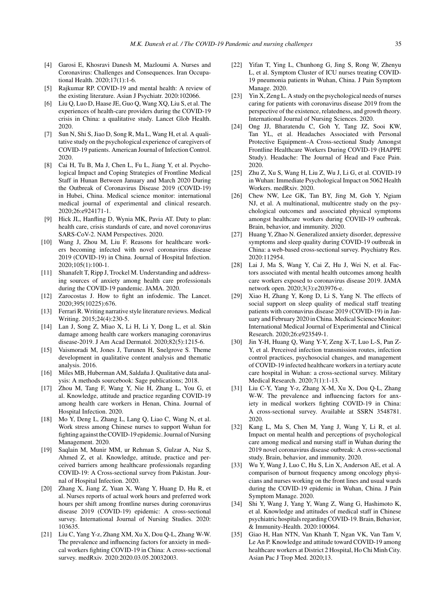- [4] Garosi E, Khosravi Danesh M, Mazloumi A. Nurses and Coronavirus: Challenges and Consequences. Iran Occupational Health. 2020;17(1):1-6.
- [5] Rajkumar RP. COVID-19 and mental health: A review of the existing literature. Asian J Psychiatr. 2020:102066.
- [6] Liu Q, Luo D, Haase JE, Guo Q, Wang XQ, Liu S, et al. The experiences of health-care providers during the COVID-19 crisis in China: a qualitative study. Lancet Glob Health. 2020.
- [7] Sun N, Shi S, Jiao D, Song R, Ma L, Wang H, et al. A qualitative study on the psychological experience of caregivers of COVID-19 patients. American Journal of Infection Control. 2020.
- [8] Cai H, Tu B, Ma J, Chen L, Fu L, Jiang Y, et al. Psychological Impact and Coping Strategies of Frontline Medical Staff in Hunan Between January and March 2020 During the Outbreak of Coronavirus Disease 2019 (COVID-19) in Hubei, China. Medical science monitor: international medical journal of experimental and clinical research. 2020;26:e924171-1.
- [9] Hick JL, Hanfling D, Wynia MK, Pavia AT. Duty to plan: health care, crisis standards of care, and novel coronavirus SARS-CoV-2. NAM Perspectives. 2020.
- [10] Wang J, Zhou M, Liu F. Reasons for healthcare workers becoming infected with novel coronavirus disease 2019 (COVID-19) in China. Journal of Hospital Infection. 2020;105(1):100-1.
- [11] Shanafelt T, Ripp J, Trockel M. Understanding and addressing sources of anxiety among health care professionals during the COVID-19 pandemic. JAMA. 2020.
- [12] Zarocostas J. How to fight an infodemic. The Lancet. 2020;395(10225):676.
- [13] Ferrari R. Writing narrative style literature reviews. Medical Writing. 2015;24(4):230-5.
- [14] Lan J, Song Z, Miao X, Li H, Li Y, Dong L, et al. Skin damage among health care workers managing coronavirus disease-2019. J Am Acad Dermatol. 2020;82(5):1215-6.
- [15] Vaismoradi M, Jones J, Turunen H, Snelgrove S. Theme development in qualitative content analysis and thematic analysis. 2016.
- [16] Miles MB, Huberman AM, Saldaña J. Qualitative data analysis: A methods sourcebook: Sage publications; 2018.
- [17] Zhou M, Tang F, Wang Y, Nie H, Zhang L, You G, et al. Knowledge, attitude and practice regarding COVID-19 among health care workers in Henan, China. Journal of Hospital Infection. 2020.
- [18] Mo Y, Deng L, Zhang L, Lang Q, Liao C, Wang N, et al. Work stress among Chinese nurses to support Wuhan for fighting against the COVID-19 epidemic. Journal of Nursing Management. 2020.
- [19] Saqlain M, Munir MM, ur Rehman S, Gulzar A, Naz S, Ahmed Z, et al. Knowledge, attitude, practice and perceived barriers among healthcare professionals regarding COVID-19: A Cross-sectional survey from Pakistan. Journal of Hospital Infection. 2020.
- [20] Zhang X, Jiang Z, Yuan X, Wang Y, Huang D, Hu R, et al. Nurses reports of actual work hours and preferred work hours per shift among frontline nurses during coronavirus disease 2019 (COVID-19) epidemic: A cross-sectional survey. International Journal of Nursing Studies. 2020: 103635.
- [21] Liu C, Yang Y-z, Zhang XM, Xu X, Dou Q-L, Zhang W-W. The prevalence and influencing factors for anxiety in medical workers fighting COVID-19 in China: A cross-sectional survey. medRxiv. 2020:2020.03.05.20032003.
- [22] Yifan T, Ying L, Chunhong G, Jing S, Rong W, Zhenyu L, et al. Symptom Cluster of ICU nurses treating COVID-19 pneumonia patients in Wuhan, China. J Pain Symptom Manage. 2020.
- [23] Yin X, Zeng L. A study on the psychological needs of nurses caring for patients with coronavirus disease 2019 from the perspective of the existence, relatedness, and growth theory. International Journal of Nursing Sciences. 2020.
- [24] Ong JJ, Bharatendu C, Goh Y, Tang JZ, Sooi KW, Tan YL, et al. Headaches Associated with Personal Protective Equipment–A Cross-sectional Study Amongst Frontline Healthcare Workers During COVID-19 (HAPPE Study). Headache: The Journal of Head and Face Pain. 2020.
- [25] Zhu Z, Xu S, Wang H, Liu Z, Wu J, Li G, et al. COVID-19 in Wuhan: Immediate Psychological Impact on 5062 Health Workers. medRxiv. 2020.
- [26] Chew NW, Lee GK, Tan BY, Jing M, Goh Y, Ngiam NJ, et al. A multinational, multicentre study on the psychological outcomes and associated physical symptoms amongst healthcare workers during COVID-19 outbreak. Brain, behavior, and immunity. 2020.
- [27] Huang Y, Zhao N. Generalized anxiety disorder, depressive symptoms and sleep quality during COVID-19 outbreak in China: a web-based cross-sectional survey. Psychiatry Res. 2020:112954.
- [28] Lai J, Ma S, Wang Y, Cai Z, Hu J, Wei N, et al. Factors associated with mental health outcomes among health care workers exposed to coronavirus disease 2019. JAMA network open. 2020;3(3):e203976-e.
- [29] Xiao H, Zhang Y, Kong D, Li S, Yang N. The effects of social support on sleep quality of medical staff treating patients with coronavirus disease 2019 (COVID-19) in January and February 2020 in China. Medical Science Monitor: International Medical Journal of Experimental and Clinical Research. 2020;26:e923549-1.
- [30] Jin Y-H, Huang Q, Wang Y-Y, Zeng X-T, Luo L-S, Pan Z-Y, et al. Perceived infection transmission routes, infection control practices, psychosocial changes, and management of COVID-19 infected healthcare workers in a tertiary acute care hospital in Wuhan: a cross-sectional survey. Military Medical Research. 2020;7(1):1-13.
- [31] Liu C-Y, Yang Y-z, Zhang X-M, Xu X, Dou Q-L, Zhang W-W. The prevalence and influencing factors for anxiety in medical workers fighting COVID-19 in China: A cross-sectional survey. Available at SSRN 3548781. 2020.
- [32] Kang L, Ma S, Chen M, Yang J, Wang Y, Li R, et al. Impact on mental health and perceptions of psychological care among medical and nursing staff in Wuhan during the 2019 novel coronavirus disease outbreak: A cross-sectional study. Brain, behavior, and immunity. 2020.
- [33] Wu Y, Wang J, Luo C, Hu S, Lin X, Anderson AE, et al. A comparison of burnout frequency among oncology physicians and nurses working on the front lines and usual wards during the COVID-19 epidemic in Wuhan, China. J Pain Symptom Manage. 2020.
- [34] Shi Y, Wang J, Yang Y, Wang Z, Wang G, Hashimoto K, et al. Knowledge and attitudes of medical staff in Chinese psychiatric hospitals regarding COVID-19. Brain, Behavior, & Immunity-Health. 2020:100064.
- [35] Giao H, Han NTN, Van Khanh T, Ngan VK, Van Tam V, Le An P. Knowledge and attitude toward COVID-19 among healthcare workers at District 2 Hospital, Ho Chi Minh City. Asian Pac J Trop Med. 2020;13.